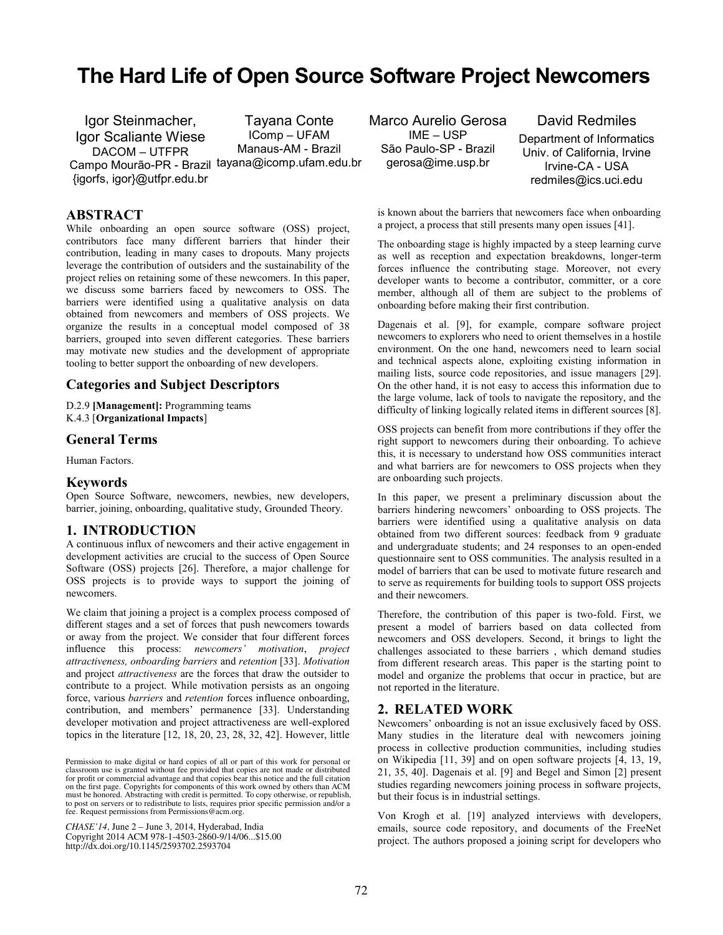# **The Hard Life of Open Source Software Project Newcomers**

Igor Steinmacher, Igor Scaliante Wiese DACOM – UTFPR Campo Mourão-PR - Brazil tayana@icomp.ufam.edu.br {igorfs, igor}@utfpr.edu.br Tayana Conte IComp – UFAM Manaus-AM - Brazil

## **ABSTRACT**

While onboarding an open source software (OSS) project, contributors face many different barriers that hinder their contribution, leading in many cases to dropouts. Many projects leverage the contribution of outsiders and the sustainability of the project relies on retaining some of these newcomers. In this paper, we discuss some barriers faced by newcomers to OSS. The barriers were identified using a qualitative analysis on data obtained from newcomers and members of OSS projects. We organize the results in a conceptual model composed of 38 barriers, grouped into seven different categories. These barriers may motivate new studies and the development of appropriate tooling to better support the onboarding of new developers.

### **Categories and Subject Descriptors**

D.2.9 **[Management]:** Programming teams K.4.3 [**Organizational Impacts**]

#### **General Terms**

Human Factors.

#### **Keywords**

Open Source Software, newcomers, newbies, new developers, barrier, joining, onboarding, qualitative study, Grounded Theory.

#### **1. INTRODUCTION**

A continuous influx of newcomers and their active engagement in development activities are crucial to the success of Open Source Software (OSS) projects [26]. Therefore, a major challenge for OSS projects is to provide ways to support the joining of newcomers.

We claim that joining a project is a complex process composed of different stages and a set of forces that push newcomers towards or away from the project. We consider that four different forces influence this process: *newcomers' motivation*, *project attractiveness, onboarding barriers* and *retention* [33]. *Motivation* and project *attractiveness* are the forces that draw the outsider to contribute to a project. While motivation persists as an ongoing force, various *barriers* and *retention* forces influence onboarding, contribution, and members' permanence [33]. Understanding developer motivation and project attractiveness are well-explored topics in the literature [12, 18, 20, 23, 28, 32, 42]. However, little

*CHASE'14*, June 2 – June 3, 2014, Hyderabad, India *CHASE'14, June 2 – June 3, 2014, Hyderabad, India* Copyright 2014 ACM 978-1-4503-2860-9/14/06...\$15.00 Copyright 2014 ACM 978-1-4503-2860-9/14/06... \$15.00. http://dx.doi.org/10.1145/2593702.2593704 Marco Aurelio Gerosa IME – USP São Paulo-SP - Brazil gerosa@ime.usp.br

David Redmiles Department of Informatics

Univ. of California, Irvine Irvine-CA - USA redmiles@ics.uci.edu

is known about the barriers that newcomers face when onboarding a project, a process that still presents many open issues [41].

The onboarding stage is highly impacted by a steep learning curve as well as reception and expectation breakdowns, longer-term forces influence the contributing stage. Moreover, not every developer wants to become a contributor, committer, or a core member, although all of them are subject to the problems of onboarding before making their first contribution.

Dagenais et al. [9], for example, compare software project newcomers to explorers who need to orient themselves in a hostile environment. On the one hand, newcomers need to learn social and technical aspects alone, exploiting existing information in mailing lists, source code repositories, and issue managers [29]. On the other hand, it is not easy to access this information due to the large volume, lack of tools to navigate the repository, and the difficulty of linking logically related items in different sources [8].

OSS projects can benefit from more contributions if they offer the right support to newcomers during their onboarding. To achieve this, it is necessary to understand how OSS communities interact and what barriers are for newcomers to OSS projects when they are onboarding such projects.

In this paper, we present a preliminary discussion about the barriers hindering newcomers' onboarding to OSS projects. The barriers were identified using a qualitative analysis on data obtained from two different sources: feedback from 9 graduate and undergraduate students; and 24 responses to an open-ended questionnaire sent to OSS communities. The analysis resulted in a model of barriers that can be used to motivate future research and to serve as requirements for building tools to support OSS projects and their newcomers.

Therefore, the contribution of this paper is two-fold. First, we present a model of barriers based on data collected from newcomers and OSS developers. Second, it brings to light the challenges associated to these barriers , which demand studies from different research areas. This paper is the starting point to model and organize the problems that occur in practice, but are not reported in the literature.

#### **2. RELATED WORK**

Newcomers' onboarding is not an issue exclusively faced by OSS. Many studies in the literature deal with newcomers joining process in collective production communities, including studies on Wikipedia [11, 39] and on open software projects [4, 13, 19, 21, 35, 40]. Dagenais et al. [9] and Begel and Simon [2] present studies regarding newcomers joining process in software projects, but their focus is in industrial settings.

Von Krogh et al. [19] analyzed interviews with developers, emails, source code repository, and documents of the FreeNet project. The authors proposed a joining script for developers who

Permission to make digital or hard copies of all or part of this work for classroom use is granted without fee provided that copies are not made or distributed for profit or commercial advantage and that copies bear this notice and the full citation on the first page. Copyrights for components of this work owned by others than ACM<br>must be honored. Abstracting with credit is permitted. To copy otherwise, or republish, must be nonored. Abstracting with credit is permitted. To copy otherwise, or republish<br>to post on servers or to redistribute to lists, requires prior specific permission and/or a otherwise, to republish, to post on servers or to redistribute to lists, fee. Request permissions from Permissions@acm.org. Permission to make digital or hard copies of all or part of this work for personal or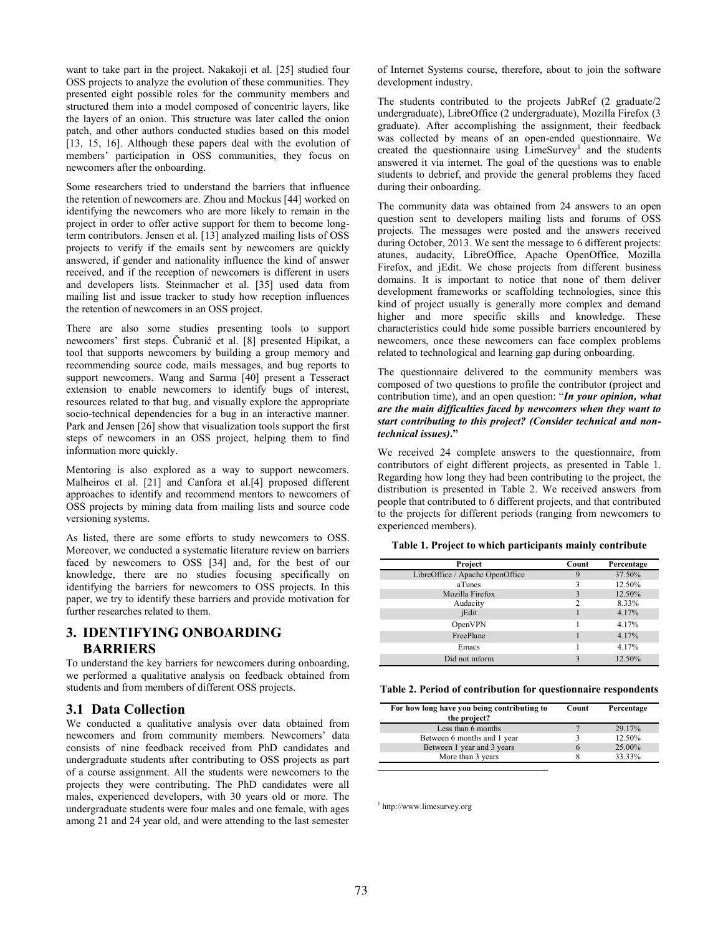want to take part in the project. Nakakoji et al. [25] studied four OSS projects to analyze the evolution of these communities. They presented eight possible roles for the community members and structured them into a model composed of concentric layers, like the layers of an onion. This structure was later called the onion patch, and other authors conducted studies based on this model [13, 15, 16]. Although these papers deal with the evolution of members' participation in OSS communities, they focus on newcomers after the onboarding.

Some researchers tried to understand the barriers that influence the retention of newcomers are. Zhou and Mockus [44] worked on identifying the newcomers who are more likely to remain in the project in order to offer active support for them to become longterm contributors. Jensen et al. [13] analyzed mailing lists of OSS projects to verify if the emails sent by newcomers are quickly answered, if gender and nationality influence the kind of answer received, and if the reception of newcomers is different in users and developers lists. Steinmacher et al. [35] used data from mailing list and issue tracker to study how reception influences the retention of newcomers in an OSS project.

There are also some studies presenting tools to support newcomers' first steps. Čubranić et al. [8] presented Hipikat, a tool that supports newcomers by building a group memory and recommending source code, mails messages, and bug reports to support newcomers. Wang and Sarma [40] present a Tesseract extension to enable newcomers to identify bugs of interest, resources related to that bug, and visually explore the appropriate socio-technical dependencies for a bug in an interactive manner. Park and Jensen [26] show that visualization tools support the first steps of newcomers in an OSS project, helping them to find information more quickly.

Mentoring is also explored as a way to support newcomers. Malheiros et al. [21] and Canfora et al.[4] proposed different approaches to identify and recommend mentors to newcomers of OSS projects by mining data from mailing lists and source code versioning systems.

As listed, there are some efforts to study newcomers to OSS. Moreover, we conducted a systematic literature review on barriers faced by newcomers to OSS [34] and, for the best of our knowledge, there are no studies focusing specifically on identifying the barriers for newcomers to OSS projects. In this paper, we try to identify these barriers and provide motivation for further researches related to them.

# **3. IDENTIFYING ONBOARDING BARRIERS**

To understand the key barriers for newcomers during onboarding, we performed a qualitative analysis on feedback obtained from students and from members of different OSS projects.

## **3.1 Data Collection**

We conducted a qualitative analysis over data obtained from newcomers and from community members. Newcomers' data consists of nine feedback received from PhD candidates and undergraduate students after contributing to OSS projects as part of a course assignment. All the students were newcomers to the projects they were contributing. The PhD candidates were all males, experienced developers, with 30 years old or more. The undergraduate students were four males and one female, with ages among 21 and 24 year old, and were attending to the last semester of Internet Systems course, therefore, about to join the software development industry.

The students contributed to the projects JabRef (2 graduate/2 undergraduate), LibreOffice (2 undergraduate), Mozilla Firefox (3 graduate). After accomplishing the assignment, their feedback was collected by means of an open-ended questionnaire. We created the questionnaire using  $\angle$  LimeSurvey<sup>1</sup> and the students answered it via internet. The goal of the questions was to enable students to debrief, and provide the general problems they faced during their onboarding.

The community data was obtained from 24 answers to an open question sent to developers mailing lists and forums of OSS projects. The messages were posted and the answers received during October, 2013. We sent the message to 6 different projects: atunes, audacity, LibreOffice, Apache OpenOffice, Mozilla Firefox, and jEdit. We chose projects from different business domains. It is important to notice that none of them deliver development frameworks or scaffolding technologies, since this kind of project usually is generally more complex and demand higher and more specific skills and knowledge. These characteristics could hide some possible barriers encountered by newcomers, once these newcomers can face complex problems related to technological and learning gap during onboarding.

The questionnaire delivered to the community members was composed of two questions to profile the contributor (project and contribution time), and an open question: "*In your opinion, what are the main difficulties faced by newcomers when they want to start contributing to this project? (Consider technical and nontechnical issues)***."**

We received 24 complete answers to the questionnaire, from contributors of eight different projects, as presented in Table 1. Regarding how long they had been contributing to the project, the distribution is presented in Table 2. We received answers from people that contributed to 6 different projects, and that contributed to the projects for different periods (ranging from newcomers to experienced members).

**Table 1. Project to which participants mainly contribute**

| Project                         | Count          | Percentage |
|---------------------------------|----------------|------------|
| LibreOffice / Apache OpenOffice | 9              | 37.50%     |
| aTunes                          |                | 12.50%     |
| Mozilla Firefox                 |                | 12.50%     |
| Audacity                        | $\mathfrak{D}$ | 8.33%      |
| jEdit                           |                | 4.17%      |
| OpenVPN                         |                | 4.17%      |
| FreePlane                       |                | 4.17%      |
| Emacs                           |                | 4.17%      |
| Did not inform                  |                | 12.50%     |

| Table 2. Period of contribution for questionnaire respondents |  |
|---------------------------------------------------------------|--|
|---------------------------------------------------------------|--|

| For how long have you being contributing to | Count        | Percentage |
|---------------------------------------------|--------------|------------|
| the project?                                |              |            |
| Less than 6 months                          |              | 29.17%     |
| Between 6 months and 1 year                 |              | 12.50%     |
| Between 1 year and 3 years                  | $\mathbf{b}$ | 25.00%     |
| More than 3 years                           |              | 33.33%     |

1 http://www.limesurvey.org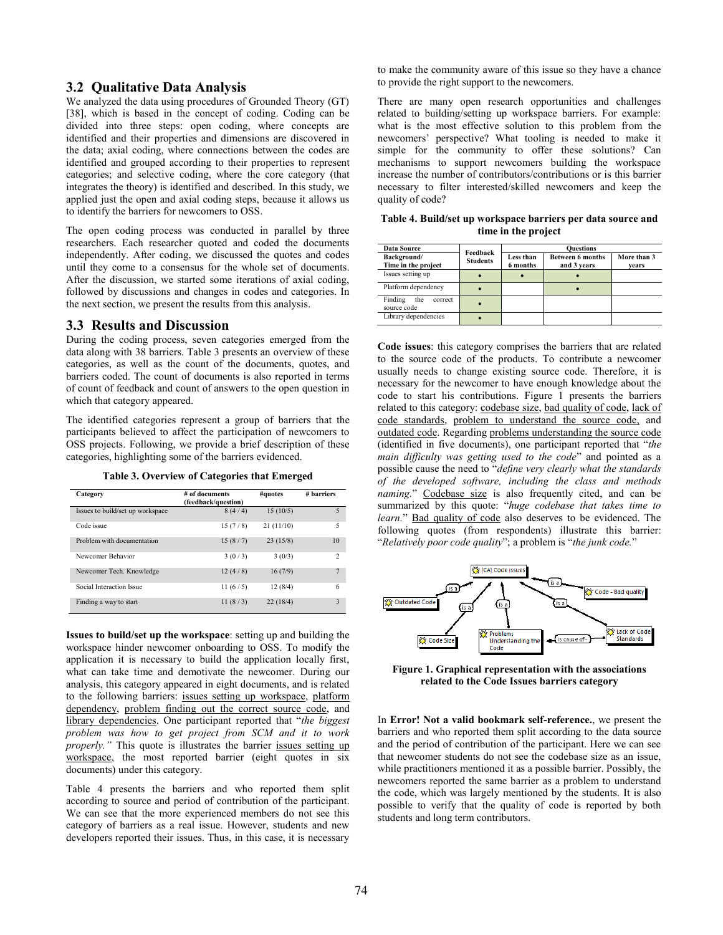## **3.2 Qualitative Data Analysis**

We analyzed the data using procedures of Grounded Theory (GT) [38], which is based in the concept of coding. Coding can be divided into three steps: open coding, where concepts are identified and their properties and dimensions are discovered in the data; axial coding, where connections between the codes are identified and grouped according to their properties to represent categories; and selective coding, where the core category (that integrates the theory) is identified and described. In this study, we applied just the open and axial coding steps, because it allows us to identify the barriers for newcomers to OSS.

The open coding process was conducted in parallel by three researchers. Each researcher quoted and coded the documents independently. After coding, we discussed the quotes and codes until they come to a consensus for the whole set of documents. After the discussion, we started some iterations of axial coding, followed by discussions and changes in codes and categories. In the next section, we present the results from this analysis.

### **3.3 Results and Discussion**

During the coding process, seven categories emerged from the data along with 38 barriers. Table 3 presents an overview of these categories, as well as the count of the documents, quotes, and barriers coded. The count of documents is also reported in terms of count of feedback and count of answers to the open question in which that category appeared.

The identified categories represent a group of barriers that the participants believed to affect the participation of newcomers to OSS projects. Following, we provide a brief description of these categories, highlighting some of the barriers evidenced.

|  | Table 3. Overview of Categories that Emerged |  |
|--|----------------------------------------------|--|
|  |                                              |  |

| Category                         | # of documents<br>(feedback/question) | #quotes   | # barriers     |
|----------------------------------|---------------------------------------|-----------|----------------|
| Issues to build/set up workspace | 8(4/4)                                | 15(10/5)  | 5              |
| Code issue                       | 15(7/8)                               | 21(11/10) | 5              |
| Problem with documentation       | 15(8/7)                               | 23(15/8)  | 10             |
| Newcomer Behavior                | 3(0/3)                                | 3(0/3)    | $\overline{c}$ |
| Newcomer Tech. Knowledge         | 12(4/8)                               | 16(7/9)   | 7              |
| Social Interaction Issue         | 11(6/5)                               | 12(8/4)   | 6              |
| Finding a way to start           | 11(8/3)                               | 22(18/4)  | 3              |

**Issues to build/set up the workspace**: setting up and building the workspace hinder newcomer onboarding to OSS. To modify the application it is necessary to build the application locally first, what can take time and demotivate the newcomer. During our analysis, this category appeared in eight documents, and is related to the following barriers: issues setting up workspace, platform dependency, problem finding out the correct source code, and library dependencies. One participant reported that "*the biggest problem was how to get project from SCM and it to work properly. "* This quote is illustrates the barrier issues setting up workspace, the most reported barrier (eight quotes in six documents) under this category.

Table 4 presents the barriers and who reported them split according to source and period of contribution of the participant. We can see that the more experienced members do not see this category of barriers as a real issue. However, students and new developers reported their issues. Thus, in this case, it is necessary to make the community aware of this issue so they have a chance to provide the right support to the newcomers.

There are many open research opportunities and challenges related to building/setting up workspace barriers. For example: what is the most effective solution to this problem from the newcomers' perspective? What tooling is needed to make it simple for the community to offer these solutions? Can mechanisms to support newcomers building the workspace increase the number of contributors/contributions or is this barrier necessary to filter interested/skilled newcomers and keep the quality of code?

| Table 4. Build/set up workspace barriers per data source and |                     |  |  |
|--------------------------------------------------------------|---------------------|--|--|
|                                                              | time in the project |  |  |

| Data Source                              | Feedback        | <b>Ouestions</b>      |                                        |                      |
|------------------------------------------|-----------------|-----------------------|----------------------------------------|----------------------|
| Background/<br>Time in the project       | <b>Students</b> | Less than<br>6 months | <b>Between 6 months</b><br>and 3 years | More than 3<br>vears |
| Issues setting up                        |                 |                       |                                        |                      |
| Platform dependency                      |                 |                       |                                        |                      |
| Finding<br>the<br>correct<br>source code |                 |                       |                                        |                      |
| Library dependencies                     |                 |                       |                                        |                      |

**Code issues**: this category comprises the barriers that are related to the source code of the products. To contribute a newcomer usually needs to change existing source code. Therefore, it is necessary for the newcomer to have enough knowledge about the code to start his contributions. Figure 1 presents the barriers related to this category: codebase size, bad quality of code, lack of code standards, problem to understand the source code, and outdated code. Regarding problems understanding the source code (identified in five documents), one participant reported that "*the main difficulty was getting used to the code*" and pointed as a possible cause the need to "*define very clearly what the standards of the developed software, including the class and methods naming.*" Codebase size is also frequently cited, and can be summarized by this quote: "*huge codebase that takes time to learn.*" Bad quality of code also deserves to be evidenced. The following quotes (from respondents) illustrate this barrier: "*Relatively poor code quality*"; a problem is "*the junk code.*"



**Figure 1. Graphical representation with the associations related to the Code Issues barriers category**

In **Error! Not a valid bookmark self-reference.**, we present the barriers and who reported them split according to the data source and the period of contribution of the participant. Here we can see that newcomer students do not see the codebase size as an issue, while practitioners mentioned it as a possible barrier. Possibly, the newcomers reported the same barrier as a problem to understand the code, which was largely mentioned by the students. It is also possible to verify that the quality of code is reported by both students and long term contributors.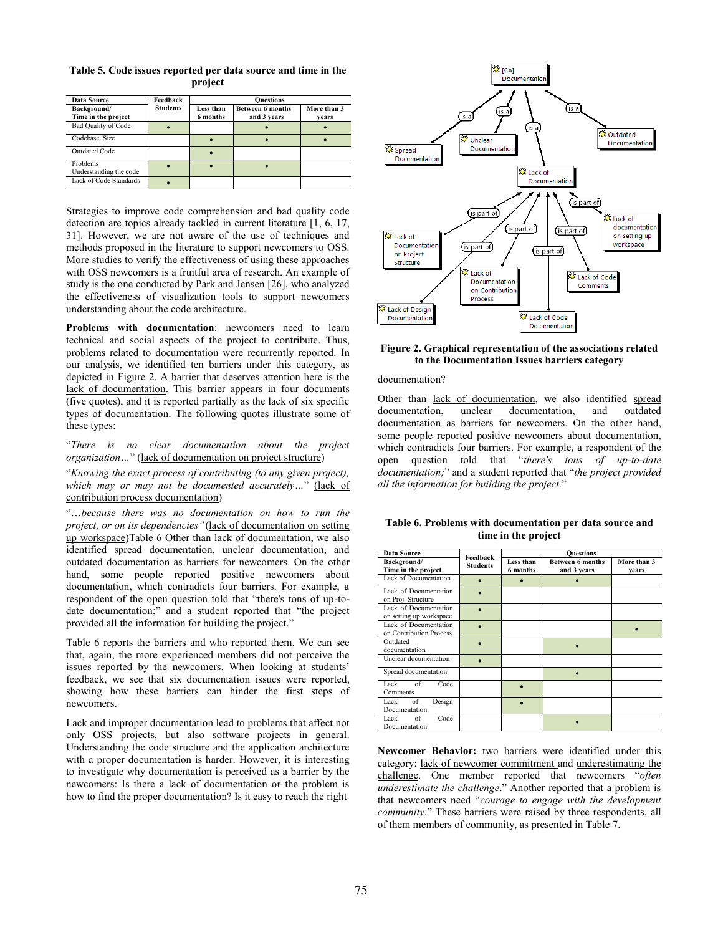| <b>Data Source</b>                 | Feedback        |                       | <b>Ouestions</b>                       |                      |
|------------------------------------|-----------------|-----------------------|----------------------------------------|----------------------|
| Background/<br>Time in the project | <b>Students</b> | Less than<br>6 months | <b>Between 6 months</b><br>and 3 years | More than 3<br>vears |
| <b>Bad Quality of Code</b>         |                 |                       |                                        |                      |
| Codebase Size                      |                 |                       |                                        |                      |
| <b>Outdated Code</b>               |                 |                       |                                        |                      |
| Problems<br>Understanding the code |                 |                       |                                        |                      |
| Lack of Code Standards             |                 |                       |                                        |                      |

**Table 5. Code issues reported per data source and time in the project**

Strategies to improve code comprehension and bad quality code detection are topics already tackled in current literature [1, 6, 17, 31]. However, we are not aware of the use of techniques and methods proposed in the literature to support newcomers to OSS. More studies to verify the effectiveness of using these approaches with OSS newcomers is a fruitful area of research. An example of study is the one conducted by Park and Jensen [26], who analyzed the effectiveness of visualization tools to support newcomers understanding about the code architecture.

**Problems with documentation**: newcomers need to learn technical and social aspects of the project to contribute. Thus, problems related to documentation were recurrently reported. In our analysis, we identified ten barriers under this category, as depicted in Figure 2. A barrier that deserves attention here is the lack of documentation. This barrier appears in four documents (five quotes), and it is reported partially as the lack of six specific types of documentation. The following quotes illustrate some of these types:

"*There is no clear documentation about the project organization* ..." (lack of documentation on project structure)

"*Knowing the exact process of contributing (to any given project), which may or may not be documented accurately…*" (lack of contribution process documentation)

"…*because there was no documentation on how to run the project, or on its dependencies"*(lack of documentation on setting up workspace)Table 6 Other than lack of documentation, we also identified spread documentation, unclear documentation, and outdated documentation as barriers for newcomers. On the other hand, some people reported positive newcomers about documentation, which contradicts four barriers. For example, a respondent of the open question told that "there's tons of up-todate documentation;" and a student reported that "the project provided all the information for building the project."

Table 6 reports the barriers and who reported them. We can see that, again, the more experienced members did not perceive the issues reported by the newcomers. When looking at students' feedback, we see that six documentation issues were reported, showing how these barriers can hinder the first steps of newcomers.

Lack and improper documentation lead to problems that affect not only OSS projects, but also software projects in general. Understanding the code structure and the application architecture with a proper documentation is harder. However, it is interesting to investigate why documentation is perceived as a barrier by the newcomers: Is there a lack of documentation or the problem is how to find the proper documentation? Is it easy to reach the right



#### **Figure 2. Graphical representation of the associations related to the Documentation Issues barriers category**

documentation?

Other than lack of documentation, we also identified spread documentation, unclear documentation, and outdated documentation as barriers for newcomers. On the other hand, some people reported positive newcomers about documentation, which contradicts four barriers. For example, a respondent of the open question told that "*there's tons of up-to-date documentation;*" and a student reported that "*the project provided all the information for building the project*."

**Table 6. Problems with documentation per data source and time in the project**

| <b>Data Source</b>                               | <b>Ouestions</b><br>Feedback |                       |                                        |                      |
|--------------------------------------------------|------------------------------|-----------------------|----------------------------------------|----------------------|
| Background/<br>Time in the project               | <b>Students</b>              | Less than<br>6 months | <b>Between 6 months</b><br>and 3 years | More than 3<br>vears |
| Lack of Documentation                            |                              |                       |                                        |                      |
| Lack of Documentation<br>on Proj. Structure      |                              |                       |                                        |                      |
| Lack of Documentation<br>on setting up workspace |                              |                       |                                        |                      |
| Lack of Documentation<br>on Contribution Process |                              |                       |                                        |                      |
| Outdated<br>documentation                        |                              |                       |                                        |                      |
| Unclear documentation                            |                              |                       |                                        |                      |
| Spread documentation                             |                              |                       |                                        |                      |
| Code<br>of<br>Lack<br>Comments                   |                              |                       |                                        |                      |
| of<br>Design<br>Lack<br>Documentation            |                              |                       |                                        |                      |
| Code<br>of<br>Lack<br>Documentation              |                              |                       |                                        |                      |

**Newcomer Behavior:** two barriers were identified under this category: lack of newcomer commitment and underestimating the challenge. One member reported that newcomers "*often underestimate the challenge*." Another reported that a problem is that newcomers need "*courage to engage with the development community*." These barriers were raised by three respondents, all of them members of community, as presented in Table 7.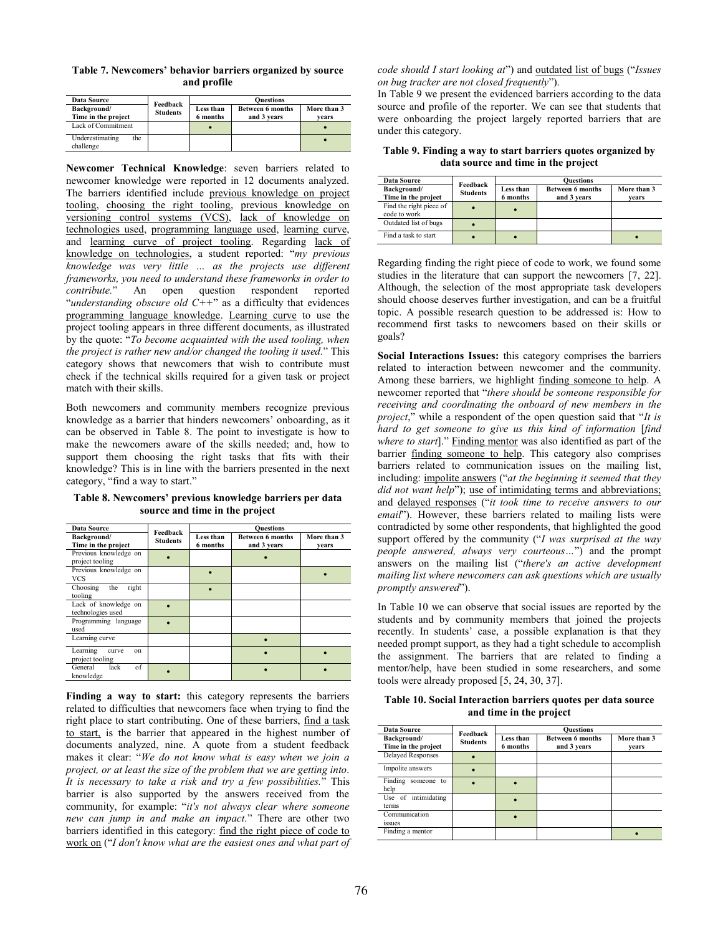**Table 7. Newcomers' behavior barriers organized by source and profile**

| <b>Data Source</b>                  | Feedback        | <b>Ouestions</b>      |                                        |                      |  |
|-------------------------------------|-----------------|-----------------------|----------------------------------------|----------------------|--|
| Background/<br>Time in the project  | <b>Students</b> | Less than<br>6 months | <b>Between 6 months</b><br>and 3 years | More than 3<br>vears |  |
| Lack of Commitment                  |                 |                       |                                        |                      |  |
| Underestimating<br>the<br>challenge |                 |                       |                                        |                      |  |

**Newcomer Technical Knowledge**: seven barriers related to newcomer knowledge were reported in 12 documents analyzed. The barriers identified include previous knowledge on project tooling, choosing the right tooling, previous knowledge on versioning control systems (VCS), lack of knowledge on technologies used, programming language used, learning curve, and learning curve of project tooling. Regarding lack of knowledge on technologies, a student reported: "*my previous knowledge was very little … as the projects use different frameworks, you need to understand these frameworks in order to contribute.*" An open question respondent reported "*understanding obscure old C++*" as a difficulty that evidences programming language knowledge. Learning curve to use the project tooling appears in three different documents, as illustrated by the quote: "*To become acquainted with the used tooling, when the project is rather new and/or changed the tooling it used.*" This category shows that newcomers that wish to contribute must check if the technical skills required for a given task or project match with their skills.

Both newcomers and community members recognize previous knowledge as a barrier that hinders newcomers' onboarding, as it can be observed in Table 8. The point to investigate is how to make the newcomers aware of the skills needed; and, how to support them choosing the right tasks that fits with their knowledge? This is in line with the barriers presented in the next category, "find a way to start."

**Table 8. Newcomers' previous knowledge barriers per data source and time in the project**

| <b>Data Source</b>                         | Feedback        | <b>Ouestions</b>      |                                        |                      |
|--------------------------------------------|-----------------|-----------------------|----------------------------------------|----------------------|
| Background/<br>Time in the project         | <b>Students</b> | Less than<br>6 months | <b>Between 6 months</b><br>and 3 years | More than 3<br>years |
| Previous knowledge on<br>project tooling   |                 |                       |                                        |                      |
| Previous knowledge on<br>VCS               |                 |                       |                                        |                      |
| Choosing<br>right<br>the<br>tooling        |                 |                       |                                        |                      |
| Lack of knowledge on<br>technologies used  |                 |                       |                                        |                      |
| Programming language<br>used               |                 |                       |                                        |                      |
| Learning curve                             |                 |                       |                                        |                      |
| Learning<br>curve<br>on<br>project tooling |                 |                       |                                        |                      |
| of<br>lack<br>General<br>knowledge         |                 |                       |                                        |                      |

**Finding a way to start:** this category represents the barriers related to difficulties that newcomers face when trying to find the right place to start contributing. One of these barriers, find a task to start, is the barrier that appeared in the highest number of documents analyzed, nine. A quote from a student feedback makes it clear: "*We do not know what is easy when we join a project, or at least the size of the problem that we are getting into. It is necessary to take a risk and try a few possibilities.*" This barrier is also supported by the answers received from the community, for example: "*it's not always clear where someone new can jump in and make an impact.*" There are other two barriers identified in this category: find the right piece of code to work on ("*I don't know what are the easiest ones and what part of*  *code should I start looking at*") and outdated list of bugs ("*Issues on bug tracker are not closed frequently*").

In Table 9 we present the evidenced barriers according to the data source and profile of the reporter. We can see that students that were onboarding the project largely reported barriers that are under this category.

**Table 9. Finding a way to start barriers quotes organized by data source and time in the project**

| Data Source                             |                             | <b>Ouestions</b>      |                                        |                      |
|-----------------------------------------|-----------------------------|-----------------------|----------------------------------------|----------------------|
| Background/<br>Time in the project      | Feedback<br><b>Students</b> | Less than<br>6 months | <b>Between 6 months</b><br>and 3 years | More than 3<br>vears |
| Find the right piece of<br>code to work |                             |                       |                                        |                      |
| Outdated list of bugs                   |                             |                       |                                        |                      |
| Find a task to start                    |                             |                       |                                        |                      |

Regarding finding the right piece of code to work, we found some studies in the literature that can support the newcomers [7, 22]. Although, the selection of the most appropriate task developers should choose deserves further investigation, and can be a fruitful topic. A possible research question to be addressed is: How to recommend first tasks to newcomers based on their skills or goals?

**Social Interactions Issues:** this category comprises the barriers related to interaction between newcomer and the community. Among these barriers, we highlight finding someone to help. A newcomer reported that "*there should be someone responsible for receiving and coordinating the onboard of new members in the project*," while a respondent of the open question said that "*It is hard to get someone to give us this kind of information* [*find where to start*]." Finding mentor was also identified as part of the barrier finding someone to help. This category also comprises barriers related to communication issues on the mailing list, including: impolite answers ("*at the beginning it seemed that they did not want help*"); use of intimidating terms and abbreviations; and delayed responses ("*it took time to receive answers to our email*"). However, these barriers related to mailing lists were contradicted by some other respondents, that highlighted the good support offered by the community ("*I was surprised at the way people answered, always very courteous…*") and the prompt answers on the mailing list ("*there's an active development mailing list where newcomers can ask questions which are usually promptly answered*").

In Table 10 we can observe that social issues are reported by the students and by community members that joined the projects recently. In students' case, a possible explanation is that they needed prompt support, as they had a tight schedule to accomplish the assignment. The barriers that are related to finding a mentor/help, have been studied in some researchers, and some tools were already proposed [5, 24, 30, 37].

**Table 10. Social Interaction barriers quotes per data source and time in the project**

| <b>Data Source</b>                 | Feedback<br><b>Students</b> | <b>Ouestions</b>      |                                        |                      |
|------------------------------------|-----------------------------|-----------------------|----------------------------------------|----------------------|
| Background/<br>Time in the project |                             | Less than<br>6 months | <b>Between 6 months</b><br>and 3 years | More than 3<br>vears |
| <b>Delayed Responses</b>           |                             |                       |                                        |                      |
| Impolite answers                   |                             |                       |                                        |                      |
| Finding<br>someone to<br>help      |                             |                       |                                        |                      |
| Use of intimidating<br>terms       |                             |                       |                                        |                      |
| Communication<br><i>ssues</i>      |                             |                       |                                        |                      |
| Finding a mentor                   |                             |                       |                                        |                      |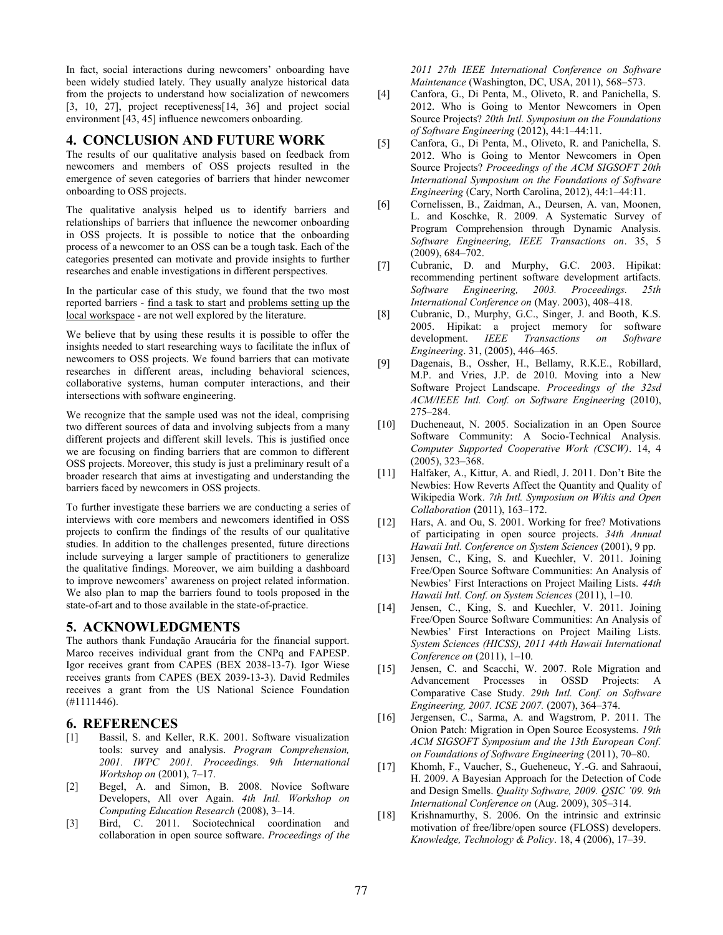In fact, social interactions during newcomers' onboarding have been widely studied lately. They usually analyze historical data from the projects to understand how socialization of newcomers [3, 10, 27], project receptiveness[14, 36] and project social environment [43, 45] influence newcomers onboarding.

## **4. CONCLUSION AND FUTURE WORK**

The results of our qualitative analysis based on feedback from newcomers and members of OSS projects resulted in the emergence of seven categories of barriers that hinder newcomer onboarding to OSS projects.

The qualitative analysis helped us to identify barriers and relationships of barriers that influence the newcomer onboarding in OSS projects. It is possible to notice that the onboarding process of a newcomer to an OSS can be a tough task. Each of the categories presented can motivate and provide insights to further researches and enable investigations in different perspectives.

In the particular case of this study, we found that the two most reported barriers - find a task to start and problems setting up the local workspace - are not well explored by the literature.

We believe that by using these results it is possible to offer the insights needed to start researching ways to facilitate the influx of newcomers to OSS projects. We found barriers that can motivate researches in different areas, including behavioral sciences, collaborative systems, human computer interactions, and their intersections with software engineering.

We recognize that the sample used was not the ideal, comprising two different sources of data and involving subjects from a many different projects and different skill levels. This is justified once we are focusing on finding barriers that are common to different OSS projects. Moreover, this study is just a preliminary result of a broader research that aims at investigating and understanding the barriers faced by newcomers in OSS projects.

To further investigate these barriers we are conducting a series of interviews with core members and newcomers identified in OSS projects to confirm the findings of the results of our qualitative studies. In addition to the challenges presented, future directions include surveying a larger sample of practitioners to generalize the qualitative findings. Moreover, we aim building a dashboard to improve newcomers' awareness on project related information. We also plan to map the barriers found to tools proposed in the state-of-art and to those available in the state-of-practice.

## **5. ACKNOWLEDGMENTS**

The authors thank Fundação Araucária for the financial support. Marco receives individual grant from the CNPq and FAPESP. Igor receives grant from CAPES (BEX 2038-13-7). Igor Wiese receives grants from CAPES (BEX 2039-13-3). David Redmiles receives a grant from the US National Science Foundation (#1111446).

## **6. REFERENCES**

- [1] Bassil, S. and Keller, R.K. 2001. Software visualization tools: survey and analysis. *Program Comprehension, 2001. IWPC 2001. Proceedings. 9th International Workshop on* (2001), 7–17.
- [2] Begel, A. and Simon, B. 2008. Novice Software Developers, All over Again. *4th Intl. Workshop on Computing Education Research* (2008), 3–14.
- [3] Bird, C. 2011. Sociotechnical coordination and collaboration in open source software. *Proceedings of the*

*2011 27th IEEE International Conference on Software Maintenance* (Washington, DC, USA, 2011), 568–573.

- [4] Canfora, G., Di Penta, M., Oliveto, R. and Panichella, S. 2012. Who is Going to Mentor Newcomers in Open Source Projects? *20th Intl. Symposium on the Foundations of Software Engineering* (2012), 44:1–44:11.
- [5] Canfora, G., Di Penta, M., Oliveto, R. and Panichella, S. 2012. Who is Going to Mentor Newcomers in Open Source Projects? *Proceedings of the ACM SIGSOFT 20th International Symposium on the Foundations of Software Engineering* (Cary, North Carolina, 2012), 44:1–44:11.
- [6] Cornelissen, B., Zaidman, A., Deursen, A. van, Moonen, L. and Koschke, R. 2009. A Systematic Survey of Program Comprehension through Dynamic Analysis. *Software Engineering, IEEE Transactions on*. 35, 5 (2009), 684–702.
- [7] Cubranic, D. and Murphy, G.C. 2003. Hipikat: recommending pertinent software development artifacts. *Software Engineering, 2003. Proceedings. 25th International Conference on* (May. 2003), 408–418.
- [8] Cubranic, D., Murphy, G.C., Singer, J. and Booth, K.S. 2005. Hipikat: a project memory for software development. *IEEE Transactions on Software* development. *IEEE Transactions on Engineering*. 31, (2005), 446–465.
- [9] Dagenais, B., Ossher, H., Bellamy, R.K.E., Robillard, M.P. and Vries, J.P. de 2010. Moving into a New Software Project Landscape. *Proceedings of the 32sd ACM/IEEE Intl. Conf. on Software Engineering* (2010), 275–284.
- [10] Ducheneaut, N. 2005. Socialization in an Open Source Software Community: A Socio-Technical Analysis. *Computer Supported Cooperative Work (CSCW)*. 14, 4 (2005), 323–368.
- [11] Halfaker, A., Kittur, A. and Riedl, J. 2011. Don't Bite the Newbies: How Reverts Affect the Quantity and Quality of Wikipedia Work. *7th Intl. Symposium on Wikis and Open Collaboration* (2011), 163–172.
- [12] Hars, A. and Ou, S. 2001. Working for free? Motivations of participating in open source projects. *34th Annual Hawaii Intl. Conference on System Sciences* (2001), 9 pp.
- [13] Jensen, C., King, S. and Kuechler, V. 2011. Joining Free/Open Source Software Communities: An Analysis of Newbies' First Interactions on Project Mailing Lists. *44th Hawaii Intl. Conf. on System Sciences* (2011), 1–10.
- [14] Jensen, C., King, S. and Kuechler, V. 2011. Joining Free/Open Source Software Communities: An Analysis of Newbies' First Interactions on Project Mailing Lists. *System Sciences (HICSS), 2011 44th Hawaii International Conference on* (2011), 1–10.
- [15] Jensen, C. and Scacchi, W. 2007. Role Migration and Advancement Processes in OSSD Projects: A Comparative Case Study. *29th Intl. Conf. on Software Engineering, 2007. ICSE 2007.* (2007), 364–374.
- [16] Jergensen, C., Sarma, A. and Wagstrom, P. 2011. The Onion Patch: Migration in Open Source Ecosystems. *19th ACM SIGSOFT Symposium and the 13th European Conf. on Foundations of Software Engineering* (2011), 70–80.
- [17] Khomh, F., Vaucher, S., Gueheneuc, Y.-G. and Sahraoui, H. 2009. A Bayesian Approach for the Detection of Code and Design Smells. *Quality Software, 2009. QSIC '09. 9th International Conference on* (Aug. 2009), 305–314.
- [18] Krishnamurthy, S. 2006. On the intrinsic and extrinsic motivation of free/libre/open source (FLOSS) developers. *Knowledge, Technology & Policy*. 18, 4 (2006), 17–39.